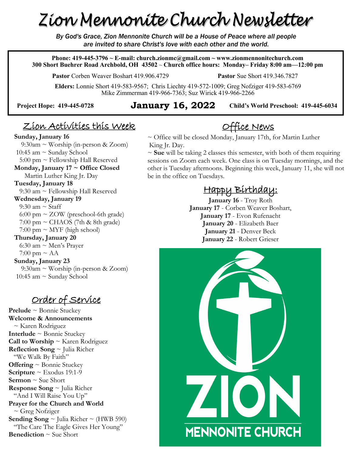# Zion Mennonite Church Newsletter

*By God's Grace, Zion Mennonite Church will be a House of Peace where all people are invited to share Christ's love with each other and the world.*

**Phone: 419-445-3796 ~ E-mail: church.zionmc@gmail.com ~ www.zionmennonitechurch.com 300 Short Buehrer Road Archbold, OH 43502** ~ **Church office hours: Monday– Friday 8:00 am—12:00 pm** 

**Pastor** Corben Weaver Boshart 419.906.4729 **Pastor** Sue Short 419.346.7827

**Elders:** Lonnie Short 419-583-9567; Chris Liechty 419-572-1009; Greg Nofziger 419-583-6769 Mike Zimmerman 419-966-7363; Suz Wirick 419-966-2266

#### **Child's World Preschool: 419-445-6034 Project Hope: 419-445-<sup>0728</sup> January 16, 2022**

## Zion Activities this Week

#### **Sunday, January 16**

 9:30am ~ Worship (in-person & Zoom) 10:45 am  $\sim$  Sunday School  $5:00 \text{ pm} \sim$  Fellowship Hall Reserved **Monday, January 17 ~ Office Closed** Martin Luther King Jr. Day **Tuesday, January 18** 9:30 am  $\sim$  Fellowship Hall Reserved **Wednesday, January 19** 9:30 am  $\sim$  Staff 6:00 pm ~ ZOW (preschool-6th grade)  $7:00 \text{ pm} \sim \text{CHAOS}$  (7th & 8th grade)  $7:00 \text{ pm} \sim \text{MYF}$  (high school) **Thursday, January 20** 6:30 am  $\sim$  Men's Prayer 7:00 pm  $\sim$  AA **Sunday, January 23** 9:30am ~ Worship (in-person & Zoom)

Order of Service

10:45 am  $\sim$  Sunday School

**Prelude** ~ Bonnie Stuckey **Welcome & Announcements** ~ Karen Rodriguez **Interlude** ~ Bonnie Stuckey **Call to Worship** ~ Karen Rodriguez **Reflection Song** ~ Julia Richer "We Walk By Faith" **Offering** ~ Bonnie Stuckey **Scripture**  $\sim$  Exodus 19:1-9 **Sermon** ~ Sue Short **Response Song** ~ Julia Richer "And I Will Raise You Up" **Prayer for the Church and World** ~ Greg Nofziger **Sending Song**  $\sim$  Julia Richer  $\sim$  (HWB 590) "The Care The Eagle Gives Her Young" **Benediction** ~ Sue Short

#### ~ Office will be closed Monday, January 17th, for Martin Luther King Jr. Day.

~ **Sue** will be taking 2 classes this semester, with both of them requiring sessions on Zoom each week. One class is on Tuesday mornings, and the other is Tuesday afternoons. Beginning this week, January 11, she will not be in the office on Tuesdays.

Office News

#### Happy Birthday:

**January 16** - Troy Roth **January 17** - Corben Weaver Boshart, **January 17** - Evon Rufenacht **January 20** - Elizabeth Baer **January 21** - Denver Beck **January 22** - Robert Grieser